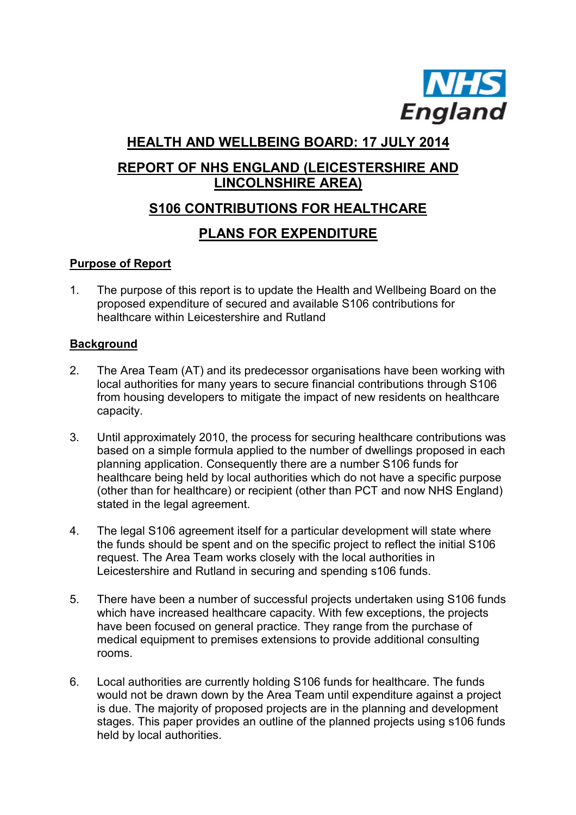

# **HEALTH AND WELLBEING BOARD: 17 JULY 2014**

# **REPORT OF NHS ENGLAND (LEICESTERSHIRE AND LINCOLNSHIRE AREA)**

# **S106 CONTRIBUTIONS FOR HEALTHCARE**

### **PLANS FOR EXPENDITURE**

### **Purpose of Report**

1. The purpose of this report is to update the Health and Wellbeing Board on the proposed expenditure of secured and available S106 contributions for healthcare within Leicestershire and Rutland

#### **Background**

- 2. The Area Team (AT) and its predecessor organisations have been working with local authorities for many years to secure financial contributions through S106 from housing developers to mitigate the impact of new residents on healthcare capacity.
- 3. Until approximately 2010, the process for securing healthcare contributions was based on a simple formula applied to the number of dwellings proposed in each planning application. Consequently there are a number S106 funds for healthcare being held by local authorities which do not have a specific purpose (other than for healthcare) or recipient (other than PCT and now NHS England) stated in the legal agreement.
- 4. The legal S106 agreement itself for a particular development will state where the funds should be spent and on the specific project to reflect the initial S106 request. The Area Team works closely with the local authorities in Leicestershire and Rutland in securing and spending s106 funds.
- 5. There have been a number of successful projects undertaken using S106 funds which have increased healthcare capacity. With few exceptions, the projects have been focused on general practice. They range from the purchase of medical equipment to premises extensions to provide additional consulting rooms.
- 6. Local authorities are currently holding S106 funds for healthcare. The funds would not be drawn down by the Area Team until expenditure against a project is due. The majority of proposed projects are in the planning and development stages. This paper provides an outline of the planned projects using s106 funds held by local authorities.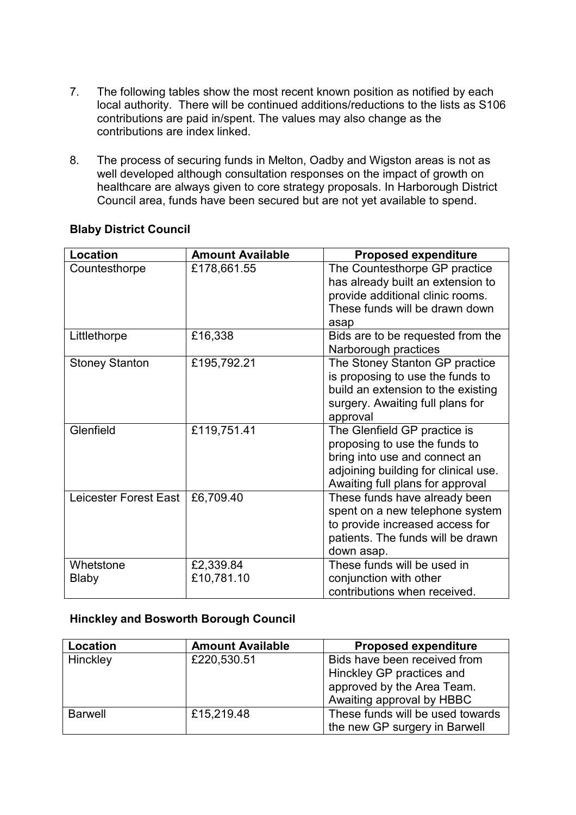- 7. The following tables show the most recent known position as notified by each local authority. There will be continued additions/reductions to the lists as S106 contributions are paid in/spent. The values may also change as the contributions are index linked.
- 8. The process of securing funds in Melton, Oadby and Wigston areas is not as well developed although consultation responses on the impact of growth on healthcare are always given to core strategy proposals. In Harborough District Council area, funds have been secured but are not yet available to spend.

| Location                  | <b>Amount Available</b> | <b>Proposed expenditure</b>                                                                                                                                                |
|---------------------------|-------------------------|----------------------------------------------------------------------------------------------------------------------------------------------------------------------------|
| Countesthorpe             | £178,661.55             | The Countesthorpe GP practice<br>has already built an extension to<br>provide additional clinic rooms.<br>These funds will be drawn down<br>asap                           |
| Littlethorpe              | £16,338                 | Bids are to be requested from the<br>Narborough practices                                                                                                                  |
| <b>Stoney Stanton</b>     | £195,792.21             | The Stoney Stanton GP practice<br>is proposing to use the funds to<br>build an extension to the existing<br>surgery. Awaiting full plans for<br>approval                   |
| Glenfield                 | £119,751.41             | The Glenfield GP practice is<br>proposing to use the funds to<br>bring into use and connect an<br>adjoining building for clinical use.<br>Awaiting full plans for approval |
| Leicester Forest East     | £6,709.40               | These funds have already been<br>spent on a new telephone system<br>to provide increased access for<br>patients. The funds will be drawn<br>down asap.                     |
| Whetstone<br><b>Blaby</b> | £2,339.84<br>£10,781.10 | These funds will be used in<br>conjunction with other<br>contributions when received.                                                                                      |

#### **Blaby District Council**

#### **Hinckley and Bosworth Borough Council**

| Location       | <b>Amount Available</b> | <b>Proposed expenditure</b>                                                                                          |
|----------------|-------------------------|----------------------------------------------------------------------------------------------------------------------|
| Hinckley       | £220,530.51             | Bids have been received from<br>Hinckley GP practices and<br>approved by the Area Team.<br>Awaiting approval by HBBC |
| <b>Barwell</b> | £15,219.48              | These funds will be used towards<br>the new GP surgery in Barwell                                                    |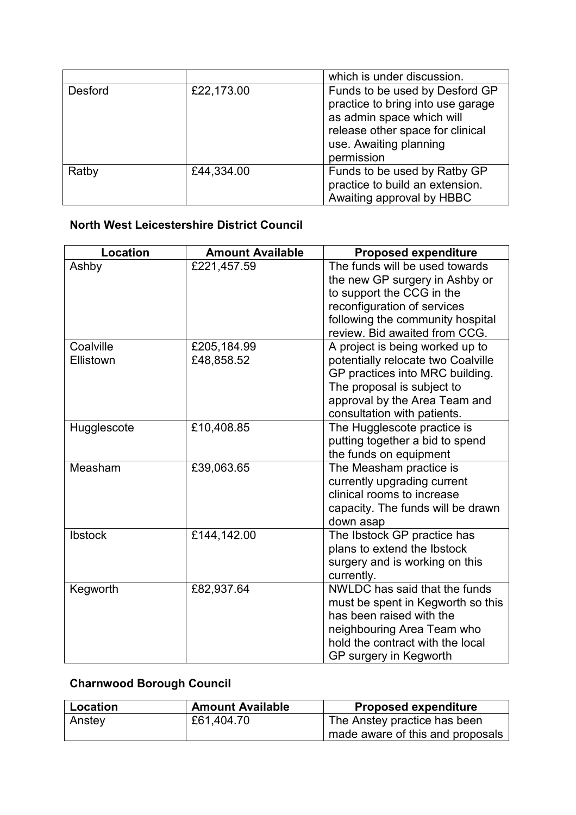|         |            | which is under discussion.                                                                                                                                                   |
|---------|------------|------------------------------------------------------------------------------------------------------------------------------------------------------------------------------|
| Desford | £22,173.00 | Funds to be used by Desford GP<br>practice to bring into use garage<br>as admin space which will<br>release other space for clinical<br>use. Awaiting planning<br>permission |
| Ratby   | £44,334.00 | Funds to be used by Ratby GP<br>practice to build an extension.<br>Awaiting approval by HBBC                                                                                 |

### **North West Leicestershire District Council**

| <b>Location</b> | <b>Amount Available</b> | <b>Proposed expenditure</b>        |
|-----------------|-------------------------|------------------------------------|
| Ashby           | £221,457.59             | The funds will be used towards     |
|                 |                         | the new GP surgery in Ashby or     |
|                 |                         | to support the CCG in the          |
|                 |                         | reconfiguration of services        |
|                 |                         | following the community hospital   |
|                 |                         | review. Bid awaited from CCG.      |
| Coalville       | £205,184.99             | A project is being worked up to    |
| Ellistown       | £48,858.52              | potentially relocate two Coalville |
|                 |                         | GP practices into MRC building.    |
|                 |                         | The proposal is subject to         |
|                 |                         | approval by the Area Team and      |
|                 |                         | consultation with patients.        |
| Hugglescote     | £10,408.85              | The Hugglescote practice is        |
|                 |                         | putting together a bid to spend    |
|                 |                         | the funds on equipment             |
| Measham         | £39,063.65              | The Measham practice is            |
|                 |                         | currently upgrading current        |
|                 |                         | clinical rooms to increase         |
|                 |                         | capacity. The funds will be drawn  |
|                 |                         | down asap                          |
| <b>Ibstock</b>  | £144,142.00             | The Ibstock GP practice has        |
|                 |                         | plans to extend the Ibstock        |
|                 |                         | surgery and is working on this     |
|                 |                         | currently.                         |
| Kegworth        | £82,937.64              | NWLDC has said that the funds      |
|                 |                         | must be spent in Kegworth so this  |
|                 |                         | has been raised with the           |
|                 |                         | neighbouring Area Team who         |
|                 |                         | hold the contract with the local   |
|                 |                         | GP surgery in Kegworth             |

# **Charnwood Borough Council**

| Location | <b>Amount Available</b> | <b>Proposed expenditure</b>        |
|----------|-------------------------|------------------------------------|
| Anstey   | £61,404.70              | The Anstey practice has been       |
|          |                         | ' made aware of this and proposals |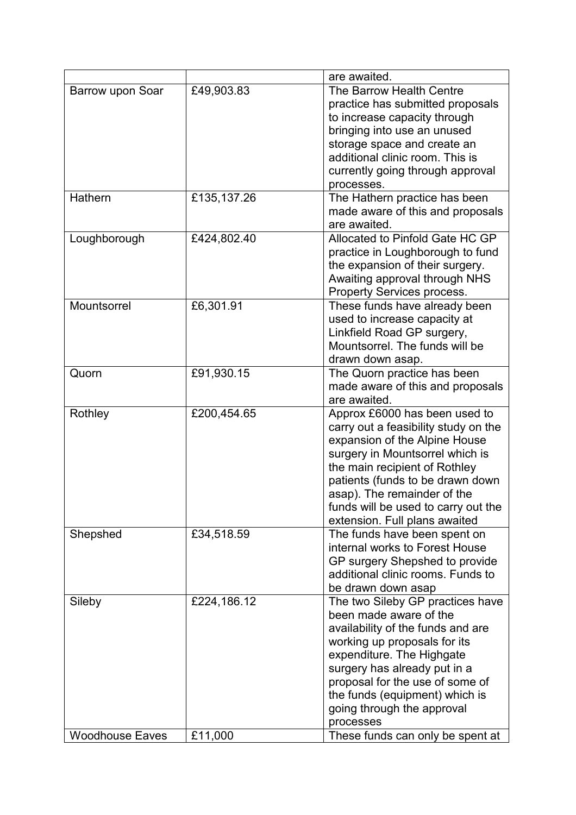|                        |             | are awaited.                         |
|------------------------|-------------|--------------------------------------|
| Barrow upon Soar       | £49,903.83  | The Barrow Health Centre             |
|                        |             | practice has submitted proposals     |
|                        |             | to increase capacity through         |
|                        |             | bringing into use an unused          |
|                        |             | storage space and create an          |
|                        |             | additional clinic room. This is      |
|                        |             | currently going through approval     |
|                        |             | processes.                           |
| Hathern                | £135,137.26 | The Hathern practice has been        |
|                        |             | made aware of this and proposals     |
|                        |             | are awaited.                         |
|                        |             |                                      |
| Loughborough           | £424,802.40 | Allocated to Pinfold Gate HC GP      |
|                        |             | practice in Loughborough to fund     |
|                        |             | the expansion of their surgery.      |
|                        |             | Awaiting approval through NHS        |
|                        |             | Property Services process.           |
| Mountsorrel            | £6,301.91   | These funds have already been        |
|                        |             | used to increase capacity at         |
|                        |             | Linkfield Road GP surgery,           |
|                        |             | Mountsorrel. The funds will be       |
|                        |             | drawn down asap.                     |
| Quorn                  | £91,930.15  | The Quorn practice has been          |
|                        |             | made aware of this and proposals     |
|                        |             | are awaited.                         |
| Rothley                | £200,454.65 | Approx £6000 has been used to        |
|                        |             | carry out a feasibility study on the |
|                        |             | expansion of the Alpine House        |
|                        |             | surgery in Mountsorrel which is      |
|                        |             | the main recipient of Rothley        |
|                        |             | patients (funds to be drawn down     |
|                        |             | asap). The remainder of the          |
|                        |             | funds will be used to carry out the  |
|                        |             | extension. Full plans awaited        |
| Shepshed               | £34,518.59  | The funds have been spent on         |
|                        |             | internal works to Forest House       |
|                        |             | GP surgery Shepshed to provide       |
|                        |             | additional clinic rooms. Funds to    |
|                        |             | be drawn down asap                   |
| Sileby                 | £224,186.12 | The two Sileby GP practices have     |
|                        |             | been made aware of the               |
|                        |             | availability of the funds and are    |
|                        |             | working up proposals for its         |
|                        |             | expenditure. The Highgate            |
|                        |             | surgery has already put in a         |
|                        |             |                                      |
|                        |             | proposal for the use of some of      |
|                        |             | the funds (equipment) which is       |
|                        |             | going through the approval           |
|                        |             | processes                            |
| <b>Woodhouse Eaves</b> | £11,000     | These funds can only be spent at     |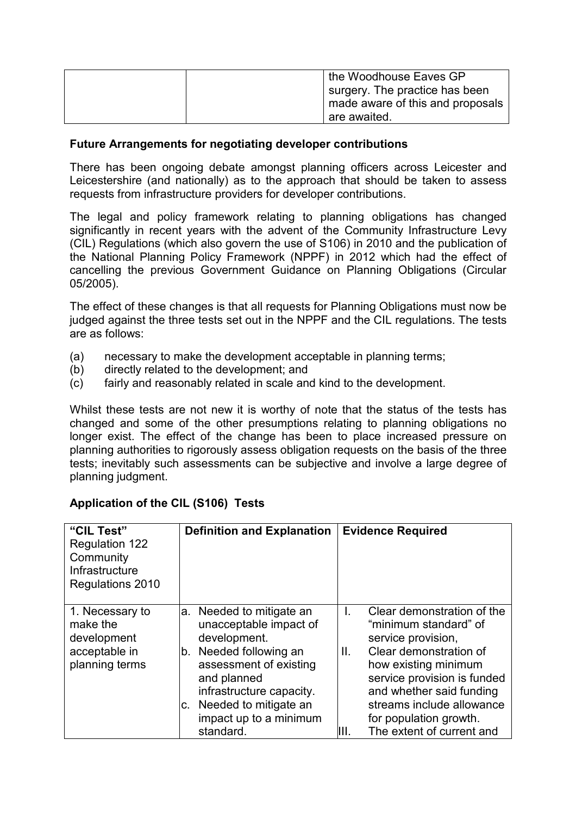| the Woodhouse Eaves GP           |
|----------------------------------|
| surgery. The practice has been   |
| made aware of this and proposals |
| are awaited.                     |

#### **Future Arrangements for negotiating developer contributions**

There has been ongoing debate amongst planning officers across Leicester and Leicestershire (and nationally) as to the approach that should be taken to assess requests from infrastructure providers for developer contributions.

The legal and policy framework relating to planning obligations has changed significantly in recent years with the advent of the Community Infrastructure Levy (CIL) Regulations (which also govern the use of S106) in 2010 and the publication of the National Planning Policy Framework (NPPF) in 2012 which had the effect of cancelling the previous Government Guidance on Planning Obligations (Circular 05/2005).

The effect of these changes is that all requests for Planning Obligations must now be judged against the three tests set out in the NPPF and the CIL regulations. The tests are as follows:

- (a) necessary to make the development acceptable in planning terms;
- (b) directly related to the development; and
- (c) fairly and reasonably related in scale and kind to the development.

Whilst these tests are not new it is worthy of note that the status of the tests has changed and some of the other presumptions relating to planning obligations no longer exist. The effect of the change has been to place increased pressure on planning authorities to rigorously assess obligation requests on the basis of the three tests; inevitably such assessments can be subjective and involve a large degree of planning judgment.

| "CIL Test"<br><b>Regulation 122</b><br>Community<br>Infrastructure<br>Regulations 2010 | <b>Definition and Explanation</b>                                                                                                                                                                                                             | <b>Evidence Required</b>                                                                                                                                                                                                                                                                       |
|----------------------------------------------------------------------------------------|-----------------------------------------------------------------------------------------------------------------------------------------------------------------------------------------------------------------------------------------------|------------------------------------------------------------------------------------------------------------------------------------------------------------------------------------------------------------------------------------------------------------------------------------------------|
| 1. Necessary to<br>make the<br>development<br>acceptable in<br>planning terms          | Needed to mitigate an<br>а.<br>unacceptable impact of<br>development.<br>Needed following an<br>b.<br>assessment of existing<br>and planned<br>infrastructure capacity.<br>Needed to mitigate an<br>С.<br>impact up to a minimum<br>standard. | Clear demonstration of the<br>L.<br>"minimum standard" of<br>service provision,<br>Clear demonstration of<br>Ш.<br>how existing minimum<br>service provision is funded<br>and whether said funding<br>streams include allowance<br>for population growth.<br>The extent of current and<br>III. |

#### **Application of the CIL (S106) Tests**